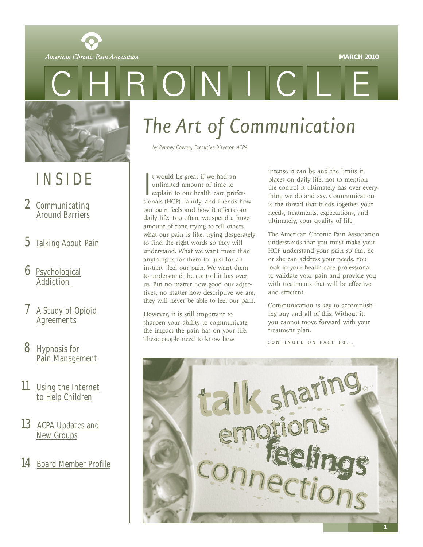

<span id="page-0-0"></span>American Chronic Pain Association



# INSIDE

- 2 [Communicating](#page-1-0) **Around Barriers**
- 5 [Talking About Pain](#page-4-0)
- 6 [Psychological](#page-5-0) Addiction
- [A Study of Opioid](#page-6-0) **Agreements**
- 8 Hypnosis for [Pain Management](#page-7-0)
- 11 [Using the Internet](#page-10-0) to Help Children
- 13 [ACPA Updates and](#page-12-0) New Groups
- 14 [Board Member Profile](#page-13-0)

# *The Art of Communication*

*by Penney Cowan, Executive Director, ACPA*

t would be great if we had an<br>unlimited amount of time to<br>explain to our health care profes-<br>sionals (HCP), family, and friends how t would be great if we had an unlimited amount of time to explain to our health care profesour pain feels and how it affects our daily life. Too often, we spend a huge amount of time trying to tell others what our pain is like, trying desperately to find the right words so they will understand. What we want more than anything is for them to—just for an instant—feel our pain. We want them to understand the control it has over us. But no matter how good our adjectives, no matter how descriptive we are, they will never be able to feel our pain.

However, it is still important to sharpen your ability to communicate the impact the pain has on your life. These people need to know how

intense it can be and the limits it places on daily life, not to mention the control it ultimately has over everything we do and say. Communication is the thread that binds together your needs, treatments, expectations, and ultimately, your quality of life.

The American Chronic Pain Association understands that you must make your HCP understand your pain so that he or she can address your needs. You look to your health care professional to validate your pain and provide you with treatments that will be effective and efficient.

Communication is key to accomplishing any and all of this. Without it, you cannot move forward with your treatment plan.

CONTINUED ON PAGE 10...

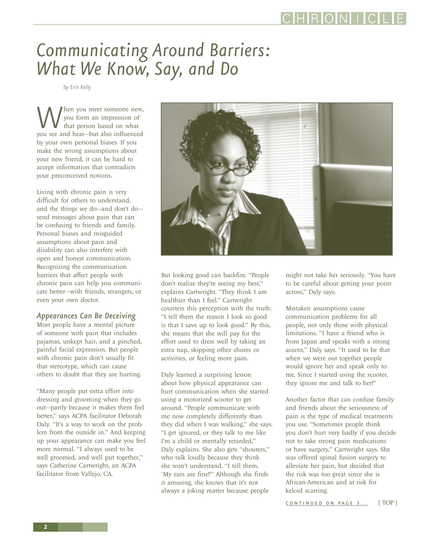# <span id="page-1-0"></span>*Communicating Around Barriers: What We Know, Say, and Do*

*by Erin Kelly*

When you meet someone new,<br>you form an impression of<br>you see and hear—but also influenced you form an impression of that person based on what by your own personal biases. If you make the wrong assumptions about your new friend, it can be hard to accept information that contradicts your preconceived notions.

Living with chronic pain is very difficult for others to understand, and the things we do—and don't do send messages about pain that can be confusing to friends and family. Personal biases and misguided assumptions about pain and disability can also interfere with open and honest communication. Recognizing the communication barriers that affect people with chronic pain can help you communicate better—with friends, strangers, or even your own doctor.

#### *Appearances Can Be Deceiving*

Most people have a mental picture of someone with pain that includes pajamas, unkept hair, and a pinched, painful facial expression. But people with chronic pain don't usually fit that stereotype, which can cause others to doubt that they are hurting.

"Many people put extra effort into dressing and grooming when they go out—partly because it makes them feel better," says ACPA facilitator Deborah Daly. "It's a way to work on the problem from the outside in." And keeping up your appearance can make you feel more normal. "I always used to be well groomed, and well put together," says Catherine Cartwright, an ACPA facilitator from Vallejo, CA.



But looking good can backfire. "People don't realize they're seeing my best," explains Cartwright. "They think I am healthier than I feel." Cartwright counters this perception with the truth: "I tell them the reason I look so good is that I save up to look good." By this, she means that she will pay for the effort used to dress well by taking an extra nap, skipping other chores or activities, or feeling more pain.

Daly learned a surprising lesson about how physical appearance can hurt communication when she started using a motorized scooter to get around. "People communicate with me now completely differently than they did when I was walking," she says. "I get ignored, or they talk to me like I'm a child or mentally retarded," Daly explains. She also gets "shouters," who talk loudly because they think she won't understand. "I tell them, 'My ears are fine!'" Although she finds it amusing, she knows that it's not always a joking matter because people

might not take her seriously. "You have to be careful about getting your point across," Daly says.

Mistaken assumptions cause communication problems for all people, not only those with physical limitations. "I have a friend who is from Japan and speaks with a strong accent," Daly says. "It used to be that when we were out together people would ignore her and speak only to me. Since I started using the scooter, they ignore me and talk to her!"

Another factor that can confuse family and friends about the seriousness of pain is the type of medical treatments you use. "Sometimes people think you don't hurt very badly if you decide not to take strong pain medications or have surgery," Cartwright says. She was offered spinal fusion surgery to alleviate her pain, but decided that the risk was too great since she is African-American and at risk for keloid scarring.

[CONTINUED ON PAGE 3...](#page-2-0) [| TOP |](#page-0-0)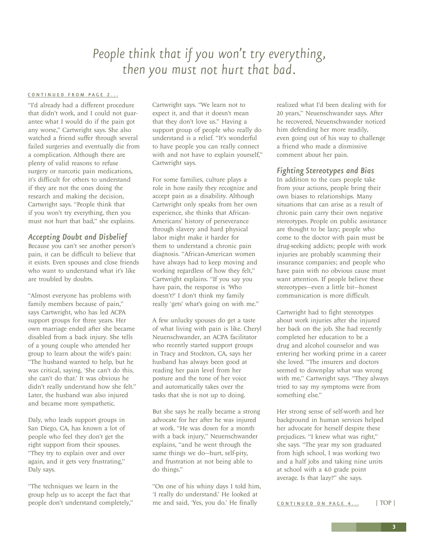## *People think that if you won't try everything, then you must not hurt that bad.*

#### <span id="page-2-0"></span>[CONTINUED FROM PAGE 2...](#page-1-0)

"I'd already had a different procedure that didn't work, and I could not guarantee what I would do if the pain got any worse," Cartwright says. She also watched a friend suffer through several failed surgeries and eventually die from a complication. Although there are plenty of valid reasons to refuse surgery or narcotic pain medications, it's difficult for others to understand if they are not the ones doing the research and making the decision, Cartwright says. "People think that if you won't try everything, then you must not hurt that bad," she explains.

#### *Accepting Doubt and Disbelief*

Because you can't see another person's pain, it can be difficult to believe that it exists. Even spouses and close friends who want to understand what it's like are troubled by doubts.

"Almost everyone has problems with family members because of pain," says Cartwright, who has led ACPA support groups for three years. Her own marriage ended after she became disabled from a back injury. She tells of a young couple who attended her group to learn about the wife's pain: "The husband wanted to help, but he was critical, saying, 'She can't do this, she can't do that.' It was obvious he didn't really understand how she felt." Later, the husband was also injured and became more sympathetic.

Daly, who leads support groups in San Diego, CA, has known a lot of people who feel they don't get the right support from their spouses. "They try to explain over and over again, and it gets very frustrating," Daly says.

"The techniques we learn in the group help us to accept the fact that people don't understand completely," Cartwright says. "We learn not to expect it, and that it doesn't mean that they don't love us." Having a support group of people who really do understand is a relief. "It's wonderful to have people you can really connect with and not have to explain yourself," Cartwright says.

For some families, culture plays a role in how easily they recognize and accept pain as a disability. Although Cartwright only speaks from her own experience, she thinks that African-Americans' history of perseverance through slavery and hard physical labor might make it harder for them to understand a chronic pain diagnosis. "African-American women have always had to keep moving and working regardless of how they felt," Cartwright explains. "If you say you have pain, the response is 'Who doesn't?' I don't think my family really 'gets' what's going on with me."

A few unlucky spouses do get a taste of what living with pain is like. Cheryl Neuenschwander, an ACPA facilitator who recently started support groups in Tracy and Stockton, CA, says her husband has always been good at reading her pain level from her posture and the tone of her voice and automatically takes over the tasks that she is not up to doing.

But she says he really became a strong advocate for her after he was injured at work. "He was down for a month with a back injury," Neuenschwander explains, "and he went through the same things we do—hurt, self-pity, and frustration at not being able to do things."

"On one of his whiny days I told him, 'I really do understand.' He looked at me and said, 'Yes, you do.' He finally

realized what I'd been dealing with for 20 years," Neuenschwander says. After he recovered, Neuenschwander noticed him defending her more readily, even going out of his way to challenge a friend who made a dismissive comment about her pain.

#### *Fighting Stereotypes and Bias*

In addition to the cues people take from your actions, people bring their own biases to relationships. Many situations that can arise as a result of chronic pain carry their own negative stereotypes. People on public assistance are thought to be lazy; people who come to the doctor with pain must be drug-seeking addicts; people with work injuries are probably scamming their insurance companies; and people who have pain with no obvious cause must want attention. If people believe these stereotypes—even a little bit—honest communication is more difficult.

Cartwright had to fight stereotypes about work injuries after she injured her back on the job. She had recently completed her education to be a drug and alcohol counselor and was entering her working prime in a career she loved. "The insurers and doctors seemed to downplay what was wrong with me," Cartwright says. "They always tried to say my symptoms were from something else."

Her strong sense of self-worth and her background in human services helped her advocate for herself despite these prejudices. "I knew what was right," she says. "The year my son graduated from high school, I was working two and a half jobs and taking nine units at school with a 4.0 grade point average. Is that lazy?" she says.

[CONTINUED ON PAGE 4 ...](#page-3-0) [| TOP |](#page-0-0)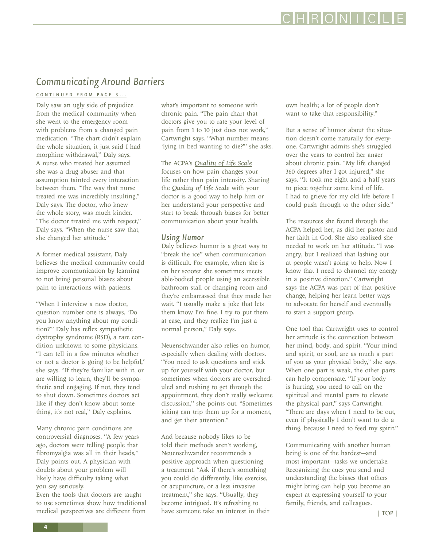## <span id="page-3-0"></span>*Communicating Around Barriers*

[CONTINUED FROM PAGE 3 ...](#page-2-0)

Daly saw an ugly side of prejudice from the medical community when she went to the emergency room with problems from a changed pain medication. "The chart didn't explain the whole situation, it just said I had morphine withdrawal," Daly says. A nurse who treated her assumed she was a drug abuser and that assumption tainted every interaction between them. "The way that nurse treated me was incredibly insulting," Daly says. The doctor, who knew the whole story, was much kinder. "The doctor treated me with respect," Daly says. "When the nurse saw that, she changed her attitude."

A former medical assistant, Daly believes the medical community could improve communication by learning to not bring personal biases about pain to interactions with patients.

"When I interview a new doctor, question number one is always, 'Do you know anything about my condition?'" Daly has reflex sympathetic dystrophy syndrome (RSD), a rare condition unknown to some physicians. "I can tell in a few minutes whether or not a doctor is going to be helpful," she says. "If they're familiar with it, or are willing to learn, they'll be sympathetic and engaging. If not, they tend to shut down. Sometimes doctors act like if they don't know about something, it's not real," Daly explains.

Many chronic pain conditions are controversial diagnoses. "A few years ago, doctors were telling people that fibromyalgia was all in their heads," Daly points out. A physician with doubts about your problem will likely have difficulty taking what you say seriously.

Even the tools that doctors are taught to use sometimes show how traditional medical perspectives are different from

what's important to someone with chronic pain. "The pain chart that doctors give you to rate your level of pain from 1 to 10 just does not work," Cartwright says. "What number means 'lying in bed wanting to die?'" she asks.

The ACPA's *[Quality of Life Scale](http://www.theacpa.org/people/resources.asp)* focuses on how pain changes your life rather than pain intensity. Sharing the *Quality of Life Scale* with your doctor is a good way to help him or her understand your perspective and start to break through biases for better communication about your health.

#### *Using Humor*

Daly believes humor is a great way to "break the ice" when communication is difficult. For example, when she is on her scooter she sometimes meets able-bodied people using an accessible bathroom stall or changing room and they're embarrassed that they made her wait. "I usually make a joke that lets them know I'm fine. I try to put them at ease, and they realize I'm just a normal person," Daly says.

Neuenschwander also relies on humor, especially when dealing with doctors. "You need to ask questions and stick up for yourself with your doctor, but sometimes when doctors are overscheduled and rushing to get through the appointment, they don't really welcome discussion," she points out. "Sometimes joking can trip them up for a moment, and get their attention."

And because nobody likes to be told their methods aren't working, Neuenschwander recommends a positive approach when questioning a treatment. "Ask if there's something you could do differently, like exercise, or acupuncture, or a less invasive treatment," she says. "Usually, they become intrigued. It's refreshing to have someone take an interest in their own health; a lot of people don't want to take that responsibility."

But a sense of humor about the situation doesn't come naturally for everyone. Cartwright admits she's struggled over the years to control her anger about chronic pain. "My life changed 360 degrees after I got injured," she says. "It took me eight and a half years to piece together some kind of life. I had to grieve for my old life before I could push through to the other side."

The resources she found through the ACPA helped her, as did her pastor and her faith in God. She also realized she needed to work on her attitude. "I was angry, but I realized that lashing out at people wasn't going to help. Now I know that I need to channel my energy in a positive direction." Cartwright says the ACPA was part of that positive change, helping her learn better ways to advocate for herself and eventually to start a support group.

One tool that Cartwright uses to control her attitude is the connection between her mind, body, and spirit. "Your mind and spirit, or soul, are as much a part of you as your physical body," she says. When one part is weak, the other parts can help compensate. "If your body is hurting, you need to call on the spiritual and mental parts to elevate the physical part," says Cartwright. "There are days when I need to be out, even if physically I don't want to do a thing, because I need to feed my spirit."

Communicating with another human being is one of the hardest—and most important—tasks we undertake. Recognizing the cues you send and understanding the biases that others might bring can help you become an expert at expressing yourself to your family, friends, and colleagues.

## CHRONICI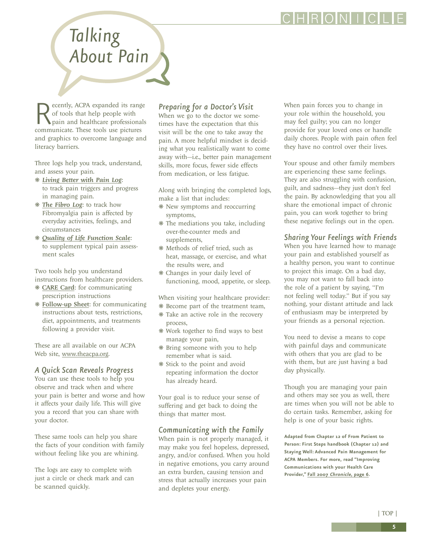RONI

# <span id="page-4-0"></span>*Talking About Pain*

ecently, ACPA expanded its range of tools that help people with pain and healthcare professionals communicate. These tools use pictures and graphics to overcome language and literacy barriers.

Three logs help you track, understand, and assess your pain.

- ❋ *[Living Better with Pain Log](http://www.theacpa.org/people/resources.asp)*: to track pain triggers and progress in managing pain.
- ❋ *[The Fibro Log](http://www.theacpa.org/fibromyalgia.asp)*: to track how Fibromyalgia pain is affected by everyday activities, feelings, and circumstances
- ❋ *[Quality of Life Function Scale](http://www.theacpa.org/people/resources.asp)*: to supplement typical pain assessment scales

Two tools help you understand instructions from healthcare providers.

- ❋ [CARE Card](http://www.theacpa.org/people/resources.asp): for communicating prescription instructions
- ❋ [Follow-up Sheet](http://www.theacpa.org/people/resources.asp): for communicating instructions about tests, restrictions, diet, appointments, and treatments following a provider visit.

These are all available on our ACPA Web site,<www.theacpa.org>.

### *A Quick Scan Reveals Progress*

You can use these tools to help you observe and track when and where your pain is better and worse and how it affects your daily life. This will give you a record that you can share with your doctor.

These same tools can help you share the facts of your condition with family without feeling like you are whining.

The logs are easy to complete with just a circle or check mark and can be scanned quickly.

### *Preparing for a Doctor's Visit*

When we go to the doctor we sometimes have the expectation that this visit will be the one to take away the pain. A more helpful mindset is deciding what you realistically want to come away with—i.e., better pain management skills, more focus, fewer side effects from medication, or less fatigue.

Along with bringing the completed logs, make a list that includes:

- ❋ New symptoms and reoccurring symptoms,
- ❋ The mediations you take, including over-the-counter meds and supplements,
- ❋ Methods of relief tried, such as heat, massage, or exercise, and what the results were, and
- ❋ Changes in your daily level of functioning, mood, appetite, or sleep.

When visiting your healthcare provider: ❋ Become part of the treatment team,

- ❋ Take an active role in the recovery process,
- ❋ Work together to find ways to best manage your pain,
- ❋ Bring someone with you to help remember what is said.
- ❋ Stick to the point and avoid repeating information the doctor has already heard.

Your goal is to reduce your sense of suffering and get back to doing the things that matter most.

#### *Communicating with the Family*

When pain is not properly managed, it may make you feel hopeless, depressed, angry, and/or confused. When you hold in negative emotions, you carry around an extra burden, causing tension and stress that actually increases your pain and depletes your energy.

When pain forces you to change in your role within the household, you may feel guilty; you can no longer provide for your loved ones or handle daily chores. People with pain often feel they have no control over their lives.

Your spouse and other family members are experiencing these same feelings. They are also struggling with confusion, guilt, and sadness—they just don't feel the pain. By acknowledging that you all share the emotional impact of chronic pain, you can work together to bring these negative feelings out in the open.

### *Sharing Your Feelings with Friends*

When you have learned how to manage your pain and established yourself as a healthy person, you want to continue to project this image. On a bad day, you may not want to fall back into the role of a patient by saying, "I'm not feeling well today." But if you say nothing, your distant attitude and lack of enthusiasm may be interpreted by your friends as a personal rejection.

You need to devise a means to cope with painful days and communicate with others that you are glad to be with them, but are just having a bad day physically.

Though you are managing your pain and others may see you as well, there are times when you will not be able to do certain tasks. Remember, asking for help is one of your basic rights.

**Adapted from Chapter 12 of From Patient to Person: First Steps handbook (Chapter 12) and Staying Well: Advanced Pain Management for ACPA Members. For more, read "Improving Communications with your Health Care Provider," [Fall 2007](http://www.theacpa.org/documents/chronicle_WEB_winter07.pdf) Chronicle, page 6.**

**5**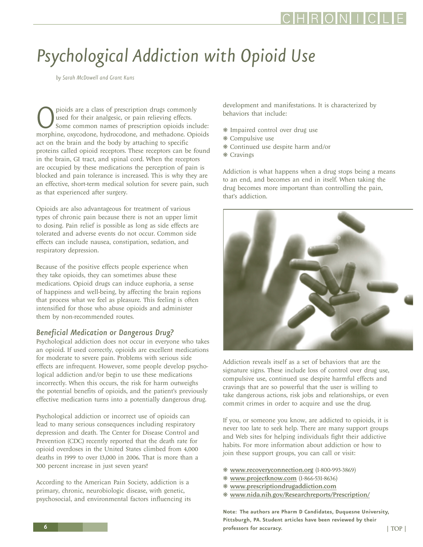# <span id="page-5-0"></span>*Psychological Addiction with Opioid Use*

*by Sarah McDowell and Grant Kuns*

pioids are a class of prescription drugs commonly used for their analgesic, or pain relieving effects.<br>Some common names of prescription opioids include:<br>morphine, oxycodone, hydrocodone, and methadone. Opioids used for their analgesic, or pain relieving effects. Some common names of prescription opioids include: act on the brain and the body by attaching to specific proteins called opioid receptors. These receptors can be found in the brain, GI tract, and spinal cord. When the receptors are occupied by these medications the perception of pain is blocked and pain tolerance is increased. This is why they are an effective, short-term medical solution for severe pain, such as that experienced after surgery.

Opioids are also advantageous for treatment of various types of chronic pain because there is not an upper limit to dosing. Pain relief is possible as long as side effects are tolerated and adverse events do not occur. Common side effects can include nausea, constipation, sedation, and respiratory depression.

Because of the positive effects people experience when they take opioids, they can sometimes abuse these medications. Opioid drugs can induce euphoria, a sense of happiness and well-being, by affecting the brain regions that process what we feel as pleasure. This feeling is often intensified for those who abuse opioids and administer them by non-recommended routes.

### *Beneficial Medication or Dangerous Drug?*

Psychological addiction does not occur in everyone who takes an opioid. If used correctly, opioids are excellent medications for moderate to severe pain. Problems with serious side effects are infrequent. However, some people develop psychological addiction and/or begin to use these medications incorrectly. When this occurs, the risk for harm outweighs the potential benefits of opioids, and the patient's previously effective medication turns into a potentially dangerous drug.

Psychological addiction or incorrect use of opioids can lead to many serious consequences including respiratory depression and death. The Center for Disease Control and Prevention (CDC) recently reported that the death rate for opioid overdoses in the United States climbed from 4,000 deaths in 1999 to over 13,000 in 2006. That is more than a 300 percent increase in just seven years!

According to the American Pain Society, addiction is a primary, chronic, neurobiologic disease, with genetic, psychosocial, and environmental factors influencing its development and manifestations. It is characterized by behaviors that include:

- ❋ Impaired control over drug use
- ❋ Compulsive use
- ❋ Continued use despite harm and/or
- ❋ Cravings

Addiction is what happens when a drug stops being a means to an end, and becomes an end in itself. When taking the drug becomes more important than controlling the pain, that's addiction.



Addiction reveals itself as a set of behaviors that are the signature signs. These include loss of control over drug use, compulsive use, continued use despite harmful effects and cravings that are so powerful that the user is willing to take dangerous actions, risk jobs and relationships, or even commit crimes in order to acquire and use the drug.

If you, or someone you know, are addicted to opioids, it is never too late to seek help. There are many support groups and Web sites for helping individuals fight their addictive habits. For more information about addiction or how to join these support groups, you can call or visit:

- ❋ <www.recoveryconnection.org> (1-800-993-3869)
- ❋ <www.projectknow.com> (1-866-531-8636)
- ❋ <www.prescriptiondrugaddiction.com>
- ❋ <www.nida.nih.gov/Researchreports/Prescription/>

**Note: The authors are Pharm D Candidates, Duquesne University, Pittsburgh, PA. Student articles have been reviewed by their professors for accuracy.** [| TOP |](#page-0-0)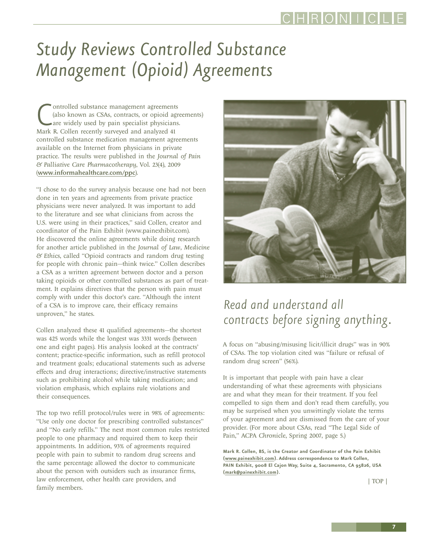# <span id="page-6-0"></span>*Study Reviews Controlled Substance Management (Opioid) Agreements*

Controlled substance management agreements<br>
(also known as CSAs, contracts, or opioid agents<br>
are widely used by pain specialist physicians<br>
Mark R. Collen recently surveyed and analyzed 41 ontrolled substance management agreements (also known as CSAs, contracts, or opioid agreements) are widely used by pain specialist physicians. controlled substance medication management agreements available on the Internet from physicians in private practice. The results were published in the *Journal of Pain & Palliative Care Pharmacotherapy*, Vol. 23(4), 2009 (<www.informahealthcare.com/ppc>).

"I chose to do the survey analysis because one had not been done in ten years and agreements from private practice physicians were never analyzed. It was important to add to the literature and see what clinicians from across the U.S. were using in their practices," said Collen, creator and coordinator of the Pain Exhibit [\(www.painexhibit.com](www.painexhibit.com)). He discovered the online agreements while doing research for another article published in the *Journal of Law, Medicine & Ethics*, called "Opioid contracts and random drug testing for people with chronic pain—think twice." Collen describes a CSA as a written agreement between doctor and a person taking opioids or other controlled substances as part of treatment. It explains directives that the person with pain must comply with under this doctor's care. "Although the intent of a CSA is to improve care, their efficacy remains unproven," he states.

Collen analyzed these 41 qualified agreements—the shortest was 425 words while the longest was 3331 words (between one and eight pages). His analysis looked at the contracts' content; practice-specific information, such as refill protocol and treatment goals; educational statements such as adverse effects and drug interactions; directive/instructive statements such as prohibiting alcohol while taking medication; and violation emphasis, which explains rule violations and their consequences.

The top two refill protocol/rules were in 98% of agreements: "Use only one doctor for prescribing controlled substances" and "No early refills." The next most common rules restricted people to one pharmacy and required them to keep their appointments. In addition, 93% of agreements required people with pain to submit to random drug screens and the same percentage allowed the doctor to communicate about the person with outsiders such as insurance firms, law enforcement, other health care providers, and family members.



# *Read and understand all contracts before signing anything.*

A focus on "abusing/misusing licit/illicit drugs" was in 90% of CSAs. The top violation cited was "failure or refusal of random drug screen" (56%).

It is important that people with pain have a clear understanding of what these agreements with physicians are and what they mean for their treatment. If you feel compelled to sign them and don't read them carefully, you may be surprised when you unwittingly violate the terms of your agreement and are dismissed from the care of your provider. (For more about CSAs, read "The Legal Side of Pain," ACPA *Chronicle*, Spring 2007, page 5.)

**Mark R. Collen, BS, is the Creator and Coordinator of the Pain Exhibit [\(www.painexhibit.com\)](www.painexhibit.com). Address correspondence to Mark Collen, PAIN Exhibit, 9008 El Cajon Way, Suite 4, Sacramento, CA 95826, USA [\(mark@painexhibit.com](mailto:mark@painexhibit.com)).** 

[| TOP |](#page-0-0)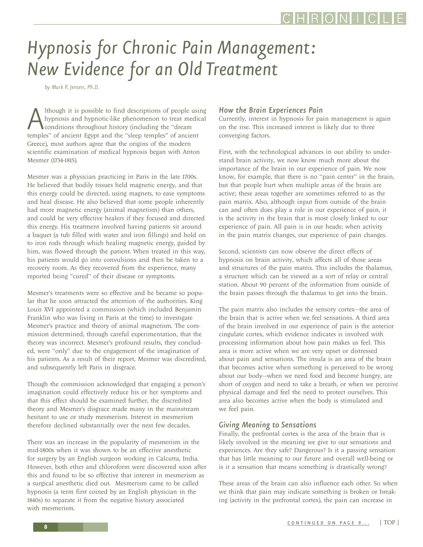# <span id="page-7-0"></span>*Hypnosis for Chronic Pain Management: New Evidence for an Old Treatment*

*by Mark P. Jensen, Ph.D.*

Although it is possible to find descriptions of people using<br>hypnosis and hypnotic-like phenomenon to treat medical<br>temples" of ancient Egypt and the "sleep temples" of ancient hypnosis and hypnotic-like phenomenon to treat medical conditions throughout history (including the "dream Greece), most authors agree that the origins of the modern scientific examination of medical hypnosis began with Anton Mesmer (1734-1815).

Mesmer was a physician practicing in Paris in the late 1700s. He believed that bodily tissues held magnetic energy, and that this energy could be directed, using magnets, to ease symptoms and heal disease. He also believed that some people inherently had more magnetic energy (animal magnetism) than others, and could be very effective healers if they focused and directed this energy. His treatment involved having patients sit around a baquet (a tub filled with water and iron fillings) and hold on to iron rods through which healing magnetic energy, guided by him, was flowed through the patient. When treated in this way, his patients would go into convulsions and then be taken to a recovery room. As they recovered from the experience, many reported being "cured" of their disease or symptoms.

Mesmer's treatments were so effective and he became so popular that he soon attracted the attention of the authorities. King Louis XVI appointed a commission (which included Benjamin Franklin who was living in Paris at the time) to investigate Mesmer's practice and theory of animal magnetism. The commission determined, through careful experimentation, that the theory was incorrect. Mesmer's profound results, they concluded, were "only" due to the engagement of the imagination of his patients. As a result of their report, Mesmer was discredited, and subsequently left Paris in disgrace.

Though the commission acknowledged that engaging a person's imagination could effectively reduce his or her symptoms and that this effect should be examined further, the discredited theory and Mesmer's disgrace made many in the mainstream hesitant to use or study mesmerism. Interest in mesmerism therefore declined substantially over the next few decades.

There was an increase in the popularity of mesmerism in the mid-1800s when it was shown to be an effective anesthetic for surgery by an English surgeon working in Calcutta, India. However, both ether and chloroform were discovered soon after this and found to be so effective that interest in mesmerism as a surgical anesthetic died out. Mesmerism came to be called hypnosis (a term first coined by an English physician in the 1840s) to separate it from the negative history associated with mesmerism.

#### *How the Brain Experiences Pain*

Currently, interest in hypnosis for pain management is again on the rise. This increased interest is likely due to three converging factors.

First, with the technological advances in our ability to understand brain activity, we now know much more about the importance of the brain in our experience of pain. We now know, for example, that there is no "pain center" in the brain, but that people hurt when multiple areas of the brain are active; these areas together are sometimes referred to as the pain matrix. Also, although input from outside of the brain can and often does play a role in our experience of pain, it is the activity in the brain that is most closely linked to our experience of pain. All pain is in our heads; when activity in the pain matrix changes, our experience of pain changes.

Second, scientists can now observe the direct effects of hypnosis on brain activity, which affects all of those areas and structures of the pain matrix. This includes the thalamus, a structure which can be viewed as a sort of relay or central station. About 90 percent of the information from outside of the brain passes through the thalamus to get into the brain.

The pain matrix also includes the sensory cortex—the area of the brain that is active when we feel sensations. A third area of the brain involved in our experience of pain is the anterior cingulate cortex, which evidence indicates is involved with processing information about how pain makes us feel. This area is more active when we are very upset or distressed about pain and sensations. The insula is an area of the brain that becomes active when something is perceived to be wrong about our body—when we need food and become hungry, are short of oxygen and need to take a breath, or when we perceive physical damage and feel the need to protect ourselves. This area also becomes active when the body is stimulated and we feel pain.

### *Giving Meaning to Sensations*

Finally, the prefrontal cortex is the area of the brain that is likely involved in the meaning we give to our sensations and experiences. Are they safe? Dangerous? Is it a passing sensation that has little meaning to our future and overall well-being or is it a sensation that means something is drastically wrong?

These areas of the brain can also influence each other. So when we think that pain may indicate something is broken or breaking (activity in the prefrontal cortex), the pain can increase in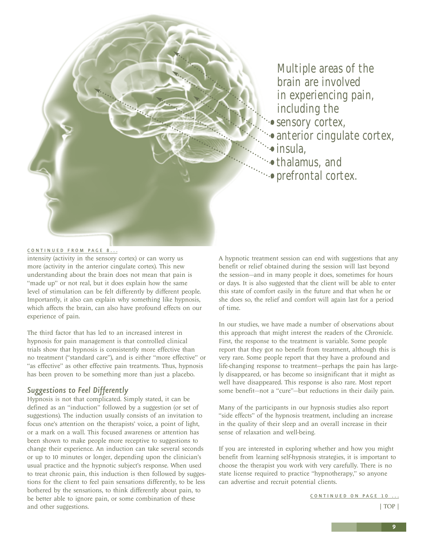<span id="page-8-0"></span>

Multiple areas of the brain are involved in experiencing pain, including the

- sensory cortex,
	- anterior cingulate cortex, •insula,
- •thalamus, and
- prefrontal cortex.

#### [CONTINUED FROM PAGE 8...](#page-7-0)

intensity (activity in the sensory cortex) or can worry us more (activity in the anterior cingulate cortex). This new understanding about the brain does not mean that pain is "made up" or not real, but it does explain how the same level of stimulation can be felt differently by different people. Importantly, it also can explain why something like hypnosis, which affects the brain, can also have profound effects on our experience of pain.

The third factor that has led to an increased interest in hypnosis for pain management is that controlled clinical trials show that hypnosis is consistently more effective than no treatment ("standard care"), and is either "more effective" or "as effective" as other effective pain treatments. Thus, hypnosis has been proven to be something more than just a placebo.

#### *Suggestions to Feel Differently*

Hypnosis is not that complicated. Simply stated, it can be defined as an "induction" followed by a suggestion (or set of suggestions). The induction usually consists of an invitation to focus one's attention on the therapists' voice, a point of light, or a mark on a wall. This focused awareness or attention has been shown to make people more receptive to suggestions to change their experience. An induction can take several seconds or up to 10 minutes or longer, depending upon the clinician's usual practice and the hypnotic subject's response. When used to treat chronic pain, this induction is then followed by suggestions for the client to feel pain sensations differently, to be less bothered by the sensations, to think differently about pain, to be better able to ignore pain, or some combination of these and other suggestions.

A hypnotic treatment session can end with suggestions that any benefit or relief obtained during the session will last beyond the session—and in many people it does, sometimes for hours or days. It is also suggested that the client will be able to enter this state of comfort easily in the future and that when he or she does so, the relief and comfort will again last for a period of time.

In our studies, we have made a number of observations about this approach that might interest the readers of the *Chronicle*. First, the response to the treatment is variable. Some people report that they got no benefit from treatment, although this is very rare. Some people report that they have a profound and life-changing response to treatment—perhaps the pain has largely disappeared, or has become so insignificant that it might as well have disappeared. This response is also rare. Most report some benefit—not a "cure"—but reductions in their daily pain.

Many of the participants in our hypnosis studies also report "side effects" of the hypnosis treatment, including an increase in the quality of their sleep and an overall increase in their sense of relaxation and well-being.

If you are interested in exploring whether and how you might benefit from learning self-hypnosis strategies, it is important to choose the therapist you work with very carefully. There is no state license required to practice "hypnotherapy," so anyone can advertise and recruit potential clients.

[CONTINUED ON PAGE 10 ...](#page-9-0)

[| TOP |](#page-0-0)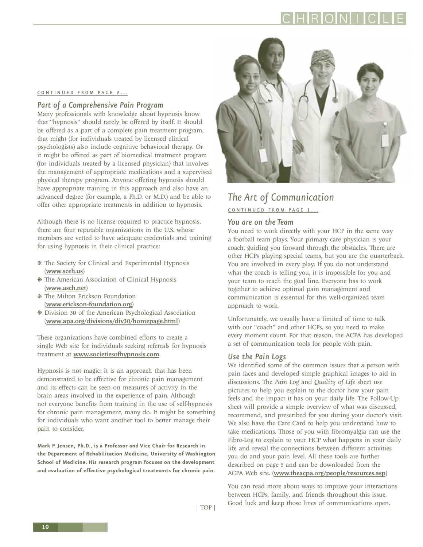**10**

### <span id="page-9-0"></span>CONTINUED FROM PAGE 9...

#### *Part of a Comprehensive Pain Program*

Many professionals with knowledge about hypnosis know that "hypnosis" should rarely be offered by itself. It should be offered as a part of a complete pain treatment program, that might (for individuals treated by licensed clinical psychologists) also include cognitive behavioral therapy. Or it might be offered as part of biomedical treatment program (for individuals treated by a licensed physician) that involves the management of appropriate medications and a supervised physical therapy program. Anyone offering hypnosis should have appropriate training in this approach and also have an advanced degree (for example, a Ph.D. or M.D.) and be able to offer other appropriate treatments in addition to hypnosis.

Although there is no license required to practice hypnosis, there are four reputable organizations in the U.S. whose members are vetted to have adequate credentials and training for using hypnosis in their clinical practice:

- ❋ The Society for Clinical and Experimental Hypnosis (<www.sceh.us>)
- ❋ The American Association of Clinical Hypnosis (<www.asch.net>)
- ❋ The Milton Erickson Foundation (<www.erickson-foundation.org>)
- ❋ Division 30 of the American Psychological Association (<www.apa.org/divisions/div30/homepage.html>)

These organizations have combined efforts to create a single Web site for individuals seeking referrals for hypnosis treatment at <www.societiesofhypnosis.com>.

Hypnosis is not magic; it is an approach that has been demonstrated to be effective for chronic pain management and its effects can be seen on measures of activity in the brain areas involved in the experience of pain. Although not everyone benefits from training in the use of self-hypnosis for chronic pain management, many do. It might be something for individuals who want another tool to better manage their pain to consider.

**Mark P. Jensen, Ph.D., is a Professor and Vice Chair for Research in the Department of Rehabilitation Medicine, University of Washington School of Medicine. His research program focuses on the development and evaluation of effective psychological treatments for chronic pain.**

### *The Art of Communication*

CONTINUED FROM PAGE 1...

#### *You are on the Team*

You need to work directly with your HCP in the same way a football team plays. Your primary care physician is your coach, guiding you forward through the obstacles. There are other HCPs playing special teams, but you are the quarterback. You are involved in every play. If you do not understand what the coach is telling you, it is impossible for you and your team to reach the goal line. Everyone has to work together to achieve optimal pain management and communication is essential for this well-organized team approach to work.

Unfortunately, we usually have a limited of time to talk with our "coach" and other HCPs, so you need to make every moment count. For that reason, the ACPA has developed a set of communication tools for people with pain.

### *Use the Pain Logs*

We identified some of the common issues that a person with pain faces and developed simple graphical images to aid in discussions. The *Pain Log* and *Quality of Life* sheet use pictures to help you explain to the doctor how your pain feels and the impact it has on your daily life. The Follow-Up sheet will provide a simple overview of what was discussed, recommend, and prescribed for you during your doctor's visit. We also have the Care Card to help you understand how to take medications. Those of you with fibromyalgia can use the Fibro-Log to explain to your HCP what happens in your daily life and reveal the connections between different activities you do and your pain level. All these tools are further described on [page 5](#page-4-0) and can be downloaded from the ACPA Web site. (<www.theacpa.org/people/resources.asp>)

You can read more about ways to improve your interactions between HCPs, family, and friends throughout this issue. Good luck and keep those lines of communications open.

[| TOP |](#page-0-0)

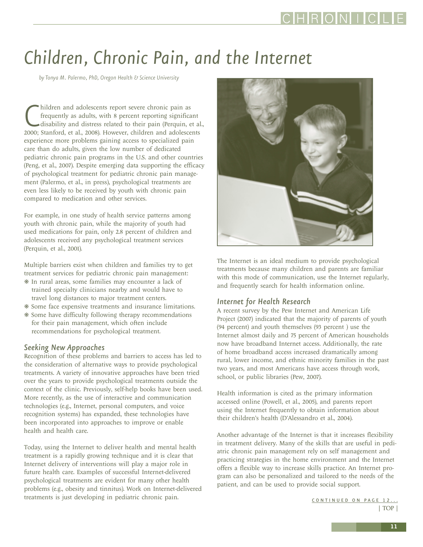# <span id="page-10-0"></span>*Children, Chronic Pain, and the Internet*

*by Tonya M. Palermo, PhD, Oregon Health & Science University*

hildren and adolescents report severe chronic pain as<br>frequently as adults, with 8 percent reporting significant<br>disability and distress related to their pain (Perquin, et a<br>2000; Stanford, et al., 2008). However, children hildren and adolescents report severe chronic pain as frequently as adults, with 8 percent reporting significant disability and distress related to their pain (Perquin, et al., experience more problems gaining access to specialized pain care than do adults, given the low number of dedicated pediatric chronic pain programs in the U.S. and other countries (Peng, et al., 2007). Despite emerging data supporting the efficacy of psychological treatment for pediatric chronic pain management (Palermo, et al., in press), psychological treatments are even less likely to be received by youth with chronic pain compared to medication and other services.

For example, in one study of health service patterns among youth with chronic pain, while the majority of youth had used medications for pain, only 2.8 percent of children and adolescents received any psychological treatment services (Perquin, et al., 2001).

Multiple barriers exist when children and families try to get treatment services for pediatric chronic pain management: ❋ In rural areas, some families may encounter a lack of

- trained specialty clinicians nearby and would have to travel long distances to major treatment centers.
- ❋ Some face expensive treatments and insurance limitations.
- ❋ Some have difficulty following therapy recommendations for their pain management, which often include recommendations for psychological treatment.

### *Seeking New Approaches*

Recognition of these problems and barriers to access has led to the consideration of alternative ways to provide psychological treatments. A variety of innovative approaches have been tried over the years to provide psychological treatments outside the context of the clinic. Previously, self-help books have been used. More recently, as the use of interactive and communication technologies (e.g., Internet, personal computers, and voice recognition systems) has expanded, these technologies have been incorporated into approaches to improve or enable health and health care.

Today, using the Internet to deliver health and mental health treatment is a rapidly growing technique and it is clear that Internet delivery of interventions will play a major role in future health care. Examples of successful Internet-delivered psychological treatments are evident for many other health problems (e.g., obesity and tinnitus). Work on Internet-delivered treatments is just developing in pediatric chronic pain.



The Internet is an ideal medium to provide psychological treatments because many children and parents are familiar with this mode of communication, use the Internet regularly, and frequently search for health information online.

### *Internet for Health Research*

A recent survey by the Pew Internet and American Life Project (2007) indicated that the majority of parents of youth (94 percent) and youth themselves (93 percent ) use the Internet almost daily and 75 percent of American households now have broadband Internet access. Additionally, the rate of home broadband access increased dramatically among rural, lower income, and ethnic minority families in the past two years, and most Americans have access through work, school, or public libraries (Pew, 2007).

Health information is cited as the primary information accessed online (Powell, et al., 2005), and parents report using the Internet frequently to obtain information about their children's health (D'Alessandro et al., 2004).

Another advantage of the Internet is that it increases flexibility in treatment delivery. Many of the skills that are useful in pediatric chronic pain management rely on self management and practicing strategies in the home environment and the Internet offers a flexible way to increase skills practice. An Internet program can also be personalized and tailored to the needs of the patient, and can be used to provide social support.

> CONTINUED ON PAGE 12... [| TOP |](#page-0-0)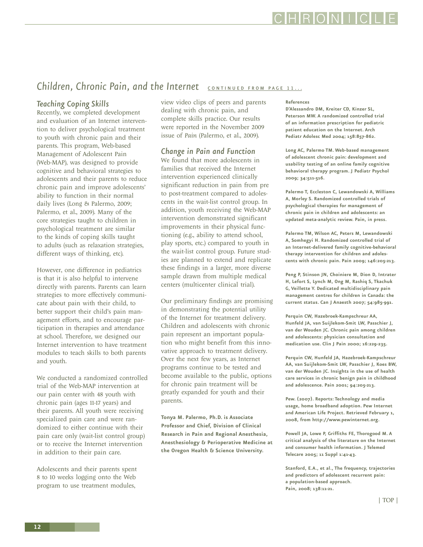## CHRONIC

### <span id="page-11-0"></span>**Children, Chronic Pain, and the Internet** CONTINUED FROM PAGE 11...

#### *Teaching Coping Skills*

Recently, we completed development and evaluation of an Internet intervention to deliver psychological treatment to youth with chronic pain and their parents. This program, Web-based Management of Adolescent Pain (Web-MAP), was designed to provide cognitive and behavioral strategies to adolescents and their parents to reduce chronic pain and improve adolescents' ability to function in their normal daily lives (Long & Palermo, 2009; Palermo, et al., 2009). Many of the core strategies taught to children in psychological treatment are similar to the kinds of coping skills taught to adults (such as relaxation strategies, different ways of thinking, etc).

However, one difference in pediatrics is that it is also helpful to intervene directly with parents. Parents can learn strategies to more effectively communicate about pain with their child, to better support their child's pain management efforts, and to encourage participation in therapies and attendance at school. Therefore, we designed our Internet intervention to have treatment modules to teach skills to both parents and youth.

We conducted a randomized controlled trial of the Web-MAP intervention at our pain center with 48 youth with chronic pain (ages 11-17 years) and their parents. All youth were receiving specialized pain care and were randomized to either continue with their pain care only (wait-list control group) or to receive the Internet intervention in addition to their pain care.

Adolescents and their parents spent 8 to 10 weeks logging onto the Web program to use treatment modules,

view video clips of peers and parents dealing with chronic pain, and complete skills practice. Our results were reported in the November 2009 issue of *Pain* (Palermo, et al., 2009).

#### *Change in Pain and Function*

We found that more adolescents in families that received the Internet intervention experienced clinically significant reduction in pain from pre to post-treatment compared to adolescents in the wait-list control group. In addition, youth receiving the Web-MAP intervention demonstrated significant improvements in their physical functioning (e.g., ability to attend school, play sports, etc.) compared to youth in the wait-list control group. Future studies are planned to extend and replicate these findings in a larger, more diverse sample drawn from multiple medical centers (multicenter clinical trial).

Our preliminary findings are promising in demonstrating the potential utility of the Internet for treatment delivery. Children and adolescents with chronic pain represent an important population who might benefit from this innovative approach to treatment delivery. Over the next few years, as Internet programs continue to be tested and become available to the public, options for chronic pain treatment will be greatly expanded for youth and their parents.

**Tonya M. Palermo, Ph.D. is Associate Professor and Chief, Division of Clinical Research in Pain and Regional Anesthesia, Anesthesiology & Perioperative Medicine at the Oregon Health & Science University.**

#### **References**

**D'Alessandro DM, Kreiter CD, Kinzer SL, Peterson MW. A randomized controlled trial of an information prescription for pediatric patient education on the Internet. Arch Pediatr Adolesc Med 2004; 158:857-862.**

**Long AC, Palermo TM. Web-based management of adolescent chronic pain: development and usability testing of an online family cognitive behavioral therapy program. J Pediatr Psychol 2009; 34:511-516.**

**Palermo T, Eccleston C, Lewandowski A, Williams A, Morley S. Randomized controlled trials of psychological therapies for management of chronic pain in children and adolescents: an updated meta-analytic review. Pain, in press.**

**Palermo TM, Wilson AC, Peters M, Lewandowski A, Somhegyi H. Randomized controlled trial of an Internet-delivered family cognitive-behavioral therapy intervention for children and adolescents with chronic pain. Pain 2009; 146:205-213.**

**Peng P, Stinson JN, Choiniere M, Dion D, Intrater H, Lefort S, Lynch M, Ong M, Rashiq S, Tkachuk G, Veillette Y. Dedicated multidisciplinary pain management centres for children in Canada: the current status. Can J Anaesth 2007; 54:985-991.**

**Perquin CW, Hazebroek-Kampschreur AA, Hunfeld JA, van Suijlekom-Smit LW, Passchier J, van der Wouden JC. Chronic pain among children and adolescents: physician consultation and medication use. Clin J Pain 2000; 16:229-235.**

**Perquin CW, Hunfeld JA, Hazebroek-Kampschreur AA, van Suijlekom-Smit LW, Passchier J, Koes BW, van der Wouden JC. Insights in the use of health care services in chronic benign pain in childhood and adolescence. Pain 2001; 94:205-213.**

**Pew. (2007). Reports: Technology and media usage, home broadband adoption. Pew Internet and American Life Project. Retrieved February 1, 2008, from http://www.pewinternet.org.**

**Powell JA, Lowe P, Griffiths FE, Thorogood M. A critical analysis of the literature on the Internet and consumer health information. J Telemed Telecare 2005; 11 Suppl 1:41-43.**

**Stanford, E.A., et al., The frequency, trajectories and predictors of adolescent recurrent pain: a population-based approach. Pain, 2008; 138:11-21.**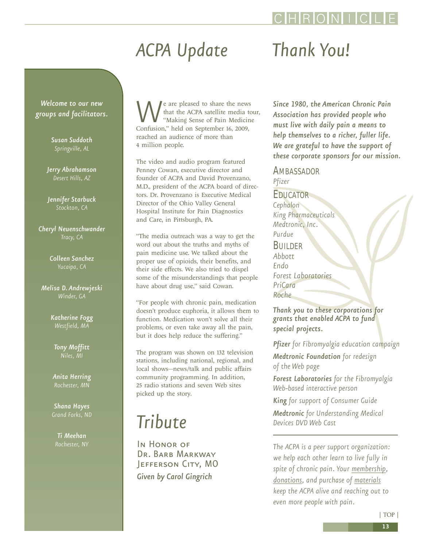#### [| TOP |](#page-0-0)

# *ACPA Update*

### <span id="page-12-0"></span>*Welcome to our new groups and facilitators.*

*Susan Suddoth Springville, AL*

*Jerry Abrahamson Desert Hills, AZ*

*Jennifer Starbuck Stockton, CA*

*Cheryl Neuenschwander Tracy, CA*

> *Colleen Sanchez Yucaipa, CA*

*Melisa D. Andrewjeski Winder, GA* 

> *Katherine Fogg Westfield, MA*

*Tony Moffitt Niles, MI*

*Anita Herring*

*Shana Hayes* 

*Ti Meehan*

We are pleased to share the news<br>
that the ACPA satellite media to<br>
"Making Sense of Pain Medicin<br>
Confusion," held on September 16, 2009, that the ACPA satellite media tour, "Making Sense of Pain Medicine reached an audience of more than 4 million people.

The video and audio program featured Penney Cowan, executive director and founder of ACPA and David Provenzano, M.D., president of the ACPA board of directors. Dr. Provenzano is Executive Medical Director of the Ohio Valley General Hospital Institute for Pain Diagnostics and Care, in Pittsburgh, PA.

"The media outreach was a way to get the word out about the truths and myths of pain medicine use. We talked about the proper use of opioids, their benefits, and their side effects. We also tried to dispel some of the misunderstandings that people have about drug use," said Cowan.

"For people with chronic pain, medication doesn't produce euphoria, it allows them to function. Medication won't solve all their problems, or even take away all the pain, but it does help reduce the suffering."

The program was shown on 132 television stations, including national, regional, and local shows—news/talk and public affairs community programming. In addition, 25 radio stations and seven Web sites picked up the story.

# *Tribute*

In HONOR OF DR. BARB MARKWAY Jefferson City, MO *Given by Carol Gingrich*

# *Thank You!*

*Since 1980, the American Chronic Pain Association has provided people who must live with daily pain a means to help themselves to a richer, fuller life. We are grateful to have the support of these corporate sponsors for our mission.*

AMBASSADOR *Pfizer*

EDUCATOR *Cephalon King Pharmaceuticals Medtronic, Inc. Purdue* **BUILDER** *Abbott Endo Forest Laboratories PriCara Roche*

*Thank you to these corporations for grants that enabled ACPA to fund special projects.*

*Pfizer for Fibromyalgia education campaign* 

*Medtronic Foundation for redesign of the Web page*

*Forest Laboratories for the Fibromyalgia Web-based interactive person*

*King for support of Consumer Guide Medtronic for Understanding Medical Devices DVD Web Cast* 

*The ACPA is a peer support organization: we help each other learn to live fully in spite of chronic pain. Your [membership,](http://www.theacpa.org/join.asp) [donations,](http://www.theacpa.org/donate.asp) and purchase of [materials](http://acpa.stores.yahoo.net/) keep the ACPA alive and reaching out to even more people with pain.*